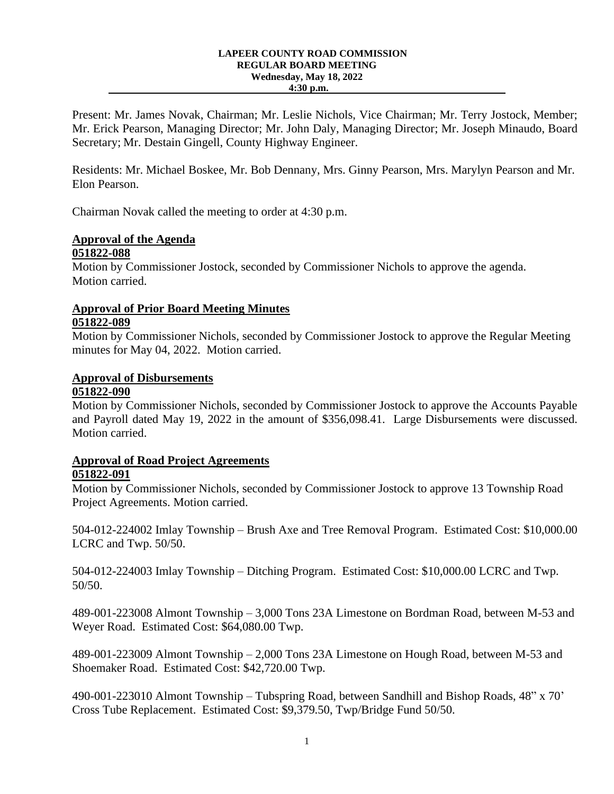#### **LAPEER COUNTY ROAD COMMISSION REGULAR BOARD MEETING Wednesday, May 18, 2022 4:30 p.m.**

Present: Mr. James Novak, Chairman; Mr. Leslie Nichols, Vice Chairman; Mr. Terry Jostock, Member; Mr. Erick Pearson, Managing Director; Mr. John Daly, Managing Director; Mr. Joseph Minaudo, Board Secretary; Mr. Destain Gingell, County Highway Engineer.

Residents: Mr. Michael Boskee, Mr. Bob Dennany, Mrs. Ginny Pearson, Mrs. Marylyn Pearson and Mr. Elon Pearson.

Chairman Novak called the meeting to order at 4:30 p.m.

#### **Approval of the Agenda 051822-088**

Motion by Commissioner Jostock, seconded by Commissioner Nichols to approve the agenda. Motion carried.

#### **Approval of Prior Board Meeting Minutes 051822-089**

Motion by Commissioner Nichols, seconded by Commissioner Jostock to approve the Regular Meeting minutes for May 04, 2022. Motion carried.

# **Approval of Disbursements**

#### **051822-090**

Motion by Commissioner Nichols, seconded by Commissioner Jostock to approve the Accounts Payable and Payroll dated May 19, 2022 in the amount of \$356,098.41. Large Disbursements were discussed. Motion carried.

# **Approval of Road Project Agreements**

## **051822-091**

Motion by Commissioner Nichols, seconded by Commissioner Jostock to approve 13 Township Road Project Agreements. Motion carried.

504-012-224002 Imlay Township – Brush Axe and Tree Removal Program. Estimated Cost: \$10,000.00 LCRC and Twp. 50/50.

504-012-224003 Imlay Township – Ditching Program. Estimated Cost: \$10,000.00 LCRC and Twp. 50/50.

489-001-223008 Almont Township – 3,000 Tons 23A Limestone on Bordman Road, between M-53 and Weyer Road. Estimated Cost: \$64,080.00 Twp.

489-001-223009 Almont Township – 2,000 Tons 23A Limestone on Hough Road, between M-53 and Shoemaker Road. Estimated Cost: \$42,720.00 Twp.

490-001-223010 Almont Township – Tubspring Road, between Sandhill and Bishop Roads, 48" x 70' Cross Tube Replacement. Estimated Cost: \$9,379.50, Twp/Bridge Fund 50/50.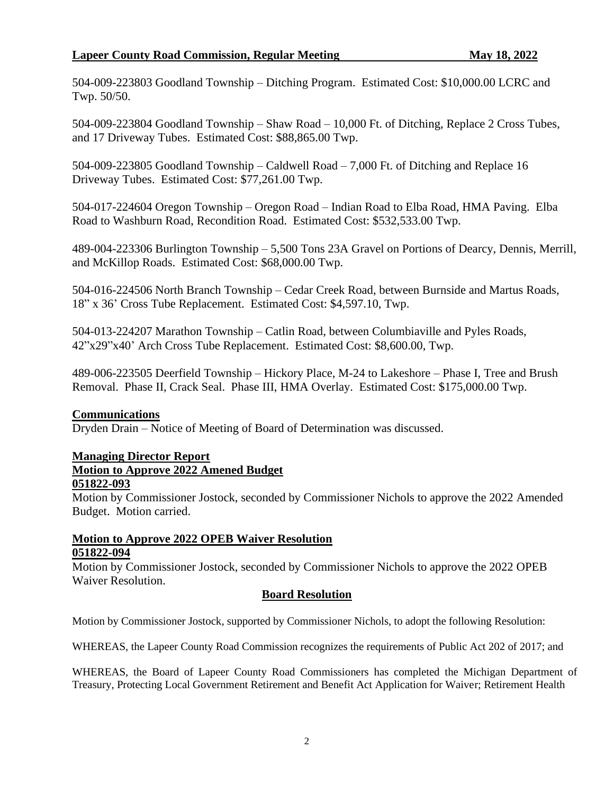## **Lapeer County Road Commission, Regular Meeting May 18, 2022**

504-009-223803 Goodland Township – Ditching Program. Estimated Cost: \$10,000.00 LCRC and Twp. 50/50.

504-009-223804 Goodland Township – Shaw Road – 10,000 Ft. of Ditching, Replace 2 Cross Tubes, and 17 Driveway Tubes. Estimated Cost: \$88,865.00 Twp.

504-009-223805 Goodland Township – Caldwell Road – 7,000 Ft. of Ditching and Replace 16 Driveway Tubes. Estimated Cost: \$77,261.00 Twp.

504-017-224604 Oregon Township – Oregon Road – Indian Road to Elba Road, HMA Paving. Elba Road to Washburn Road, Recondition Road. Estimated Cost: \$532,533.00 Twp.

489-004-223306 Burlington Township – 5,500 Tons 23A Gravel on Portions of Dearcy, Dennis, Merrill, and McKillop Roads. Estimated Cost: \$68,000.00 Twp.

504-016-224506 North Branch Township – Cedar Creek Road, between Burnside and Martus Roads, 18" x 36' Cross Tube Replacement. Estimated Cost: \$4,597.10, Twp.

504-013-224207 Marathon Township – Catlin Road, between Columbiaville and Pyles Roads, 42"x29"x40' Arch Cross Tube Replacement. Estimated Cost: \$8,600.00, Twp.

489-006-223505 Deerfield Township – Hickory Place, M-24 to Lakeshore – Phase I, Tree and Brush Removal. Phase II, Crack Seal. Phase III, HMA Overlay. Estimated Cost: \$175,000.00 Twp.

## **Communications**

Dryden Drain – Notice of Meeting of Board of Determination was discussed.

# **Managing Director Report**

## **Motion to Approve 2022 Amened Budget**

#### **051822-093**

Motion by Commissioner Jostock, seconded by Commissioner Nichols to approve the 2022 Amended Budget. Motion carried.

## **Motion to Approve 2022 OPEB Waiver Resolution 051822-094**

Motion by Commissioner Jostock, seconded by Commissioner Nichols to approve the 2022 OPEB Waiver Resolution.

## **Board Resolution**

Motion by Commissioner Jostock, supported by Commissioner Nichols, to adopt the following Resolution:

WHEREAS, the Lapeer County Road Commission recognizes the requirements of Public Act 202 of 2017; and

WHEREAS, the Board of Lapeer County Road Commissioners has completed the Michigan Department of Treasury, Protecting Local Government Retirement and Benefit Act Application for Waiver; Retirement Health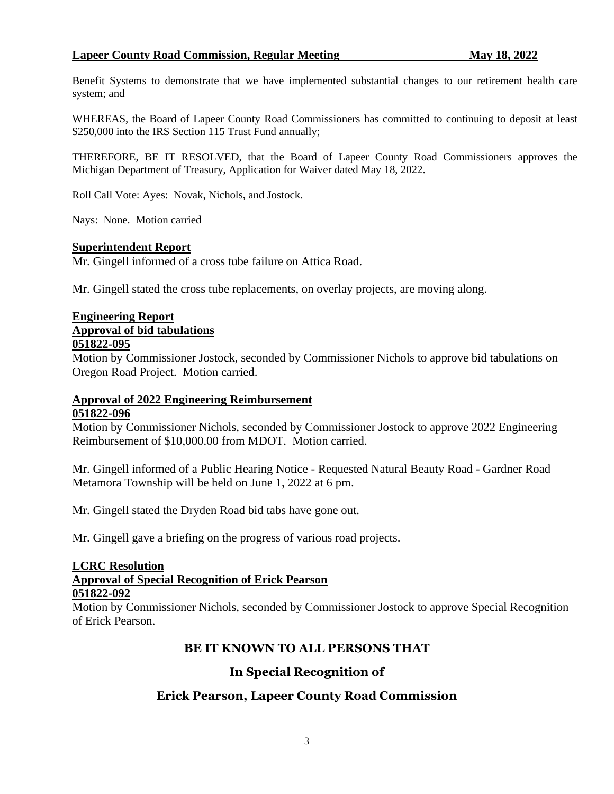## **Lapeer County Road Commission, Regular Meeting May 18, 2022**

Benefit Systems to demonstrate that we have implemented substantial changes to our retirement health care system; and

WHEREAS, the Board of Lapeer County Road Commissioners has committed to continuing to deposit at least \$250,000 into the IRS Section 115 Trust Fund annually;

THEREFORE, BE IT RESOLVED, that the Board of Lapeer County Road Commissioners approves the Michigan Department of Treasury, Application for Waiver dated May 18, 2022.

Roll Call Vote: Ayes: Novak, Nichols, and Jostock.

Nays: None. Motion carried

#### **Superintendent Report**

Mr. Gingell informed of a cross tube failure on Attica Road.

Mr. Gingell stated the cross tube replacements, on overlay projects, are moving along.

# **Engineering Report Approval of bid tabulations**

#### **051822-095**

Motion by Commissioner Jostock, seconded by Commissioner Nichols to approve bid tabulations on Oregon Road Project. Motion carried.

### **Approval of 2022 Engineering Reimbursement 051822-096**

Motion by Commissioner Nichols, seconded by Commissioner Jostock to approve 2022 Engineering Reimbursement of \$10,000.00 from MDOT. Motion carried.

Mr. Gingell informed of a Public Hearing Notice - Requested Natural Beauty Road - Gardner Road – Metamora Township will be held on June 1, 2022 at 6 pm.

Mr. Gingell stated the Dryden Road bid tabs have gone out.

Mr. Gingell gave a briefing on the progress of various road projects.

#### **LCRC Resolution**

#### **Approval of Special Recognition of Erick Pearson 051822-092**

Motion by Commissioner Nichols, seconded by Commissioner Jostock to approve Special Recognition of Erick Pearson.

## **BE IT KNOWN TO ALL PERSONS THAT**

## **In Special Recognition of**

## **Erick Pearson, Lapeer County Road Commission**